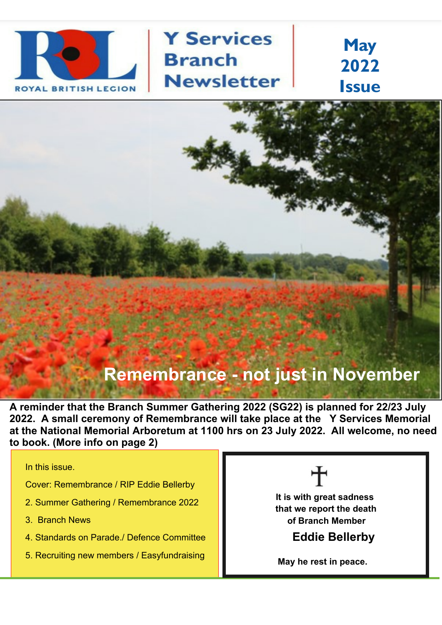

**Y Services Branch Newsletter** 

**May 2022 Issue**

# **Remembrance - not just in November**

**A reminder that the Branch Summer Gathering 2022 (SG22) is planned for 22/23 July 2022. A small ceremony of Remembrance will take place at the Y Services Memorial at the National Memorial Arboretum at 1100 hrs on 23 July 2022. All welcome, no need to book. (More info on page 2)**

In this issue.

Cover: Remembrance / RIP Eddie Bellerby

- 2. Summer Gathering / Remembrance 2022
- 3. Branch News
- 4. Standards on Parade./ Defence Committee
- 5. Recruiting new members / Easyfundraising



**It is with great sadness that we report the death of Branch Member**

**Eddie Bellerby**

**May he rest in peace.**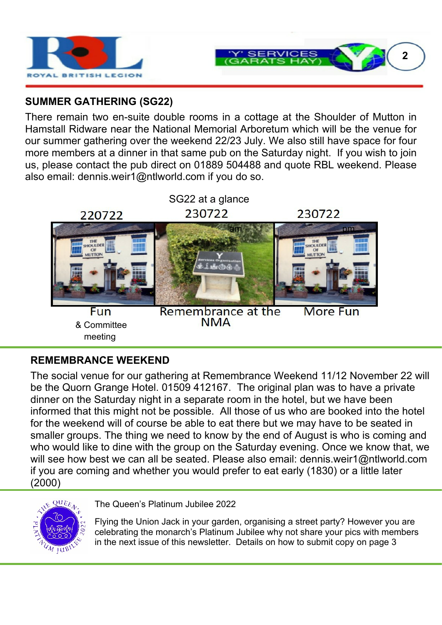



### **SUMMER GATHERING (SG22)**

There remain two en-suite double rooms in a cottage at the Shoulder of Mutton in Hamstall Ridware near the National Memorial Arboretum which will be the venue for our summer gathering over the weekend 22/23 July. We also still have space for four more members at a dinner in that same pub on the Saturday night. If you wish to join us, please contact the pub direct on 01889 504488 and quote RBL weekend. Please also email: dennis.weir1@ntlworld.com if you do so.



#### **REMEMBRANCE WEEKEND**

The social venue for our gathering at Remembrance Weekend 11/12 November 22 will be the Quorn Grange Hotel. 01509 412167. The original plan was to have a private dinner on the Saturday night in a separate room in the hotel, but we have been informed that this might not be possible. All those of us who are booked into the hotel for the weekend will of course be able to eat there but we may have to be seated in smaller groups. The thing we need to know by the end of August is who is coming and who would like to dine with the group on the Saturday evening. Once we know that, we will see how best we can all be seated. Please also email: dennis.weir1@ntlworld.com if you are coming and whether you would prefer to eat early (1830) or a little later (2000)



The Queen's Platinum Jubilee 2022

Flying the Union Jack in your garden, organising a street party? However you are celebrating the monarch's Platinum Jubilee why not share your pics with members in the next issue of this newsletter. Details on how to submit copy on page 3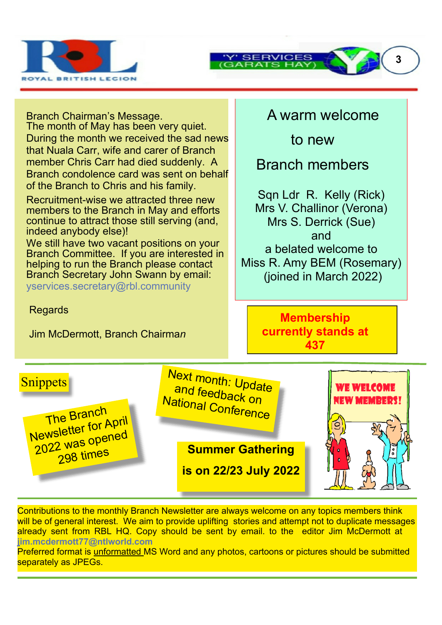

Branch Chairman's Message.

The month of May has been very quiet. During the month we received the sad news that Nuala Carr, wife and carer of Branch member Chris Carr had died suddenly. A Branch condolence card was sent on behalf of the Branch to Chris and his family.

Recruitment-wise we attracted three new members to the Branch in May and efforts continue to attract those still serving (and, indeed anybody else)!

We still have two vacant positions on your Branch Committee. If you are interested in helping to run the Branch please contact Branch Secretary John Swann by email: yservices.secretary@rbl.community

**Regards** 

Jim McDermott, Branch Chairma*n*

## A warm welcome

to new

Branch members

Sqn Ldr R. Kelly (Rick) Mrs V. Challinor (Verona) Mrs S. Derrick (Sue) and a belated welcome to Miss R. Amy BEM (Rosemary) (joined in March 2022)

> **Membership currently stands at 437**



Contributions to the monthly Branch Newsletter are always welcome on any topics members think will be of general interest. We aim to provide uplifting stories and attempt not to duplicate messages already sent from RBL HQ. Copy should be sent by email. to the editor Jim McDermott at **jim.mcdermott77@ntlworld.com**

Preferred format is unformatted MS Word and any photos, cartoons or pictures should be submitted separately as JPEGs.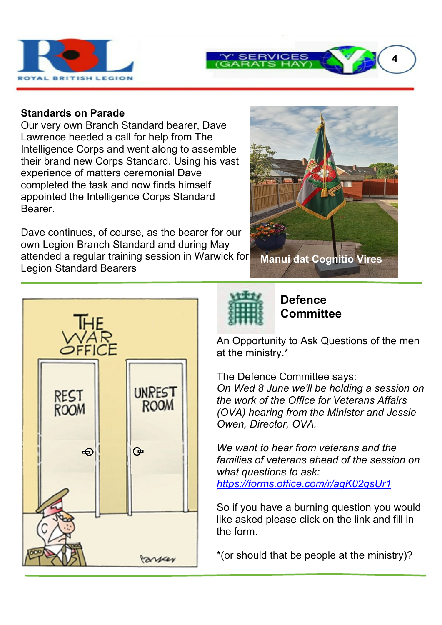

#### **Standards on Parade**

Our very own Branch Standard bearer, Dave Lawrence heeded a call for help from The Intelligence Corps and went along to assemble their brand new Corps Standard. Using his vast experience of matters ceremonial Dave completed the task and now finds himself appointed the Intelligence Corps Standard Bearer.

Dave continues, of course, as the bearer for our own Legion Branch Standard and during May attended a regular training session in Warwick for Legion Standard Bearers



**4**





**Defence Committee**

An Opportunity to Ask Questions of the men at the ministry.\*

The Defence Committee says: *On Wed 8 June we'll be holding a session on the work of the Office for Veterans Affairs (OVA) hearing from the Minister and Jessie Owen, Director, OVA.*

*We want to hear from veterans and the families of veterans ahead of the session on what questions to ask: https://forms.office.com/r/agK02qsUr1*

So if you have a burning question you would like asked please click on the link and fill in the form.

\*(or should that be people at the ministry)?